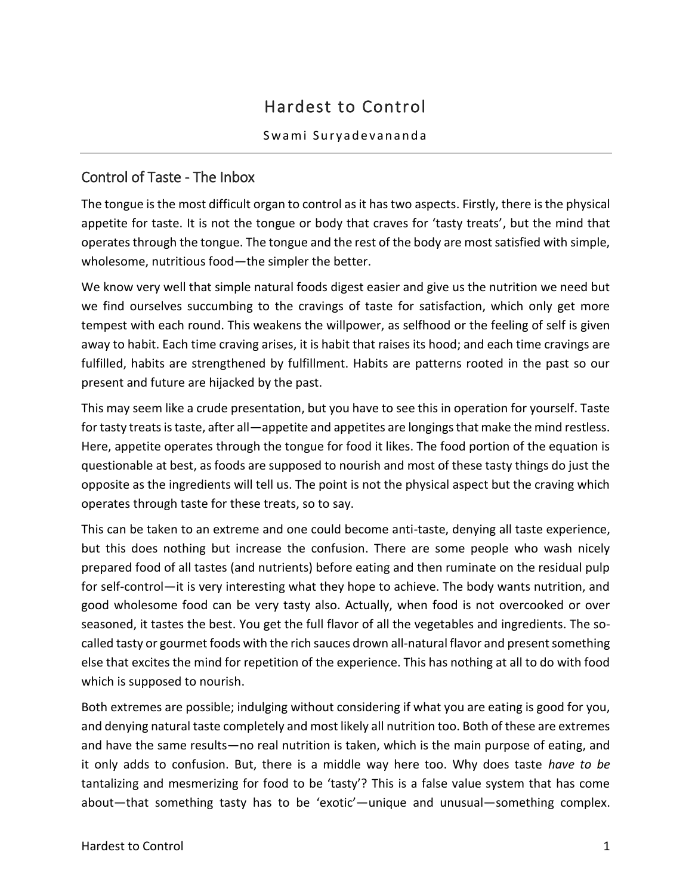# Hardest to Control

#### Swami Suryadevananda

### Control of Taste - The Inbox

The tongue is the most difficult organ to control as it has two aspects. Firstly, there is the physical appetite for taste. It is not the tongue or body that craves for 'tasty treats', but the mind that operates through the tongue. The tongue and the rest of the body are most satisfied with simple, wholesome, nutritious food—the simpler the better.

We know very well that simple natural foods digest easier and give us the nutrition we need but we find ourselves succumbing to the cravings of taste for satisfaction, which only get more tempest with each round. This weakens the willpower, as selfhood or the feeling of self is given away to habit. Each time craving arises, it is habit that raises its hood; and each time cravings are fulfilled, habits are strengthened by fulfillment. Habits are patterns rooted in the past so our present and future are hijacked by the past.

This may seem like a crude presentation, but you have to see this in operation for yourself. Taste for tasty treats is taste, after all—appetite and appetites are longings that make the mind restless. Here, appetite operates through the tongue for food it likes. The food portion of the equation is questionable at best, as foods are supposed to nourish and most of these tasty things do just the opposite as the ingredients will tell us. The point is not the physical aspect but the craving which operates through taste for these treats, so to say.

This can be taken to an extreme and one could become anti-taste, denying all taste experience, but this does nothing but increase the confusion. There are some people who wash nicely prepared food of all tastes (and nutrients) before eating and then ruminate on the residual pulp for self-control—it is very interesting what they hope to achieve. The body wants nutrition, and good wholesome food can be very tasty also. Actually, when food is not overcooked or over seasoned, it tastes the best. You get the full flavor of all the vegetables and ingredients. The socalled tasty or gourmet foods with the rich sauces drown all-natural flavor and present something else that excites the mind for repetition of the experience. This has nothing at all to do with food which is supposed to nourish.

Both extremes are possible; indulging without considering if what you are eating is good for you, and denying natural taste completely and most likely all nutrition too. Both of these are extremes and have the same results—no real nutrition is taken, which is the main purpose of eating, and it only adds to confusion. But, there is a middle way here too. Why does taste *have to be* tantalizing and mesmerizing for food to be 'tasty'? This is a false value system that has come about—that something tasty has to be 'exotic'—unique and unusual—something complex.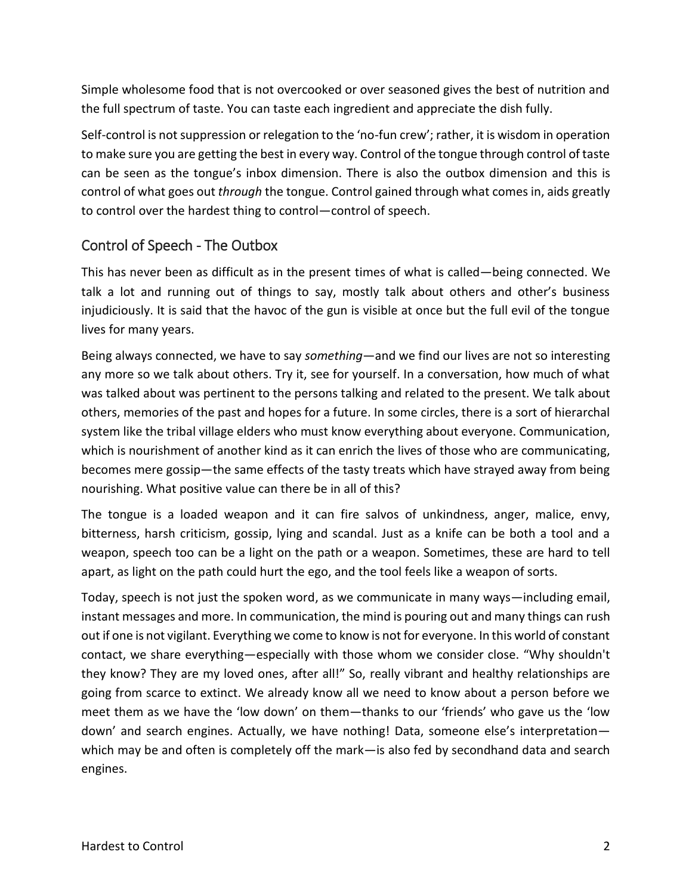Simple wholesome food that is not overcooked or over seasoned gives the best of nutrition and the full spectrum of taste. You can taste each ingredient and appreciate the dish fully.

Self-control is not suppression or relegation to the 'no-fun crew'; rather, it is wisdom in operation to make sure you are getting the best in every way. Control of the tongue through control of taste can be seen as the tongue's inbox dimension. There is also the outbox dimension and this is control of what goes out *through* the tongue. Control gained through what comes in, aids greatly to control over the hardest thing to control—control of speech.

#### Control of Speech - The Outbox

This has never been as difficult as in the present times of what is called—being connected. We talk a lot and running out of things to say, mostly talk about others and other's business injudiciously. It is said that the havoc of the gun is visible at once but the full evil of the tongue lives for many years.

Being always connected, we have to say *something*—and we find our lives are not so interesting any more so we talk about others. Try it, see for yourself. In a conversation, how much of what was talked about was pertinent to the persons talking and related to the present. We talk about others, memories of the past and hopes for a future. In some circles, there is a sort of hierarchal system like the tribal village elders who must know everything about everyone. Communication, which is nourishment of another kind as it can enrich the lives of those who are communicating, becomes mere gossip—the same effects of the tasty treats which have strayed away from being nourishing. What positive value can there be in all of this?

The tongue is a loaded weapon and it can fire salvos of unkindness, anger, malice, envy, bitterness, harsh criticism, gossip, lying and scandal. Just as a knife can be both a tool and a weapon, speech too can be a light on the path or a weapon. Sometimes, these are hard to tell apart, as light on the path could hurt the ego, and the tool feels like a weapon of sorts.

Today, speech is not just the spoken word, as we communicate in many ways—including email, instant messages and more. In communication, the mind is pouring out and many things can rush out if one is not vigilant. Everything we come to know is not for everyone. In this world of constant contact, we share everything—especially with those whom we consider close. "Why shouldn't they know? They are my loved ones, after all!" So, really vibrant and healthy relationships are going from scarce to extinct. We already know all we need to know about a person before we meet them as we have the 'low down' on them—thanks to our 'friends' who gave us the 'low down' and search engines. Actually, we have nothing! Data, someone else's interpretation which may be and often is completely off the mark—is also fed by secondhand data and search engines.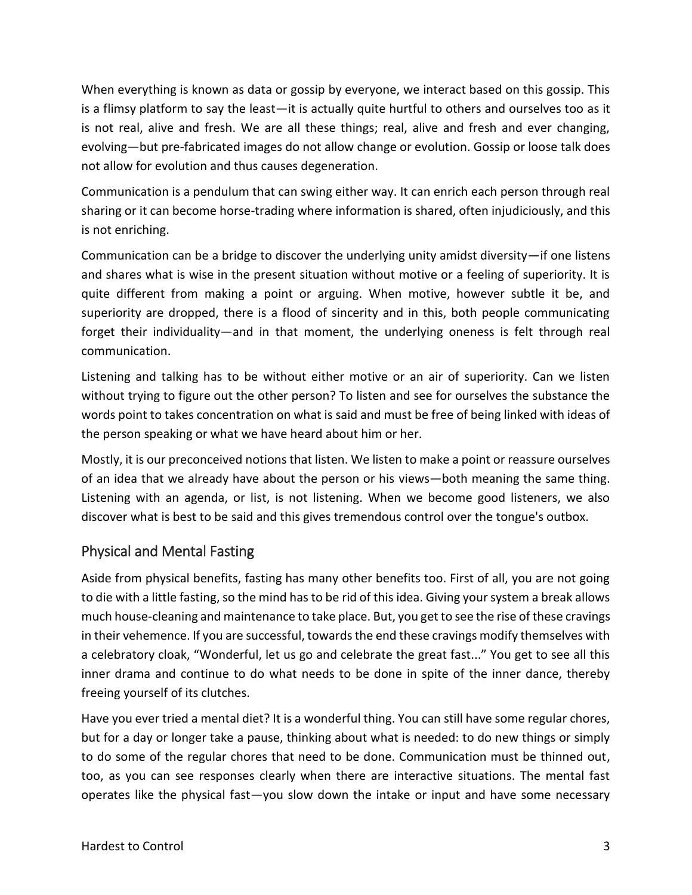When everything is known as data or gossip by everyone, we interact based on this gossip. This is a flimsy platform to say the least—it is actually quite hurtful to others and ourselves too as it is not real, alive and fresh. We are all these things; real, alive and fresh and ever changing, evolving—but pre-fabricated images do not allow change or evolution. Gossip or loose talk does not allow for evolution and thus causes degeneration.

Communication is a pendulum that can swing either way. It can enrich each person through real sharing or it can become horse-trading where information is shared, often injudiciously, and this is not enriching.

Communication can be a bridge to discover the underlying unity amidst diversity—if one listens and shares what is wise in the present situation without motive or a feeling of superiority. It is quite different from making a point or arguing. When motive, however subtle it be, and superiority are dropped, there is a flood of sincerity and in this, both people communicating forget their individuality—and in that moment, the underlying oneness is felt through real communication.

Listening and talking has to be without either motive or an air of superiority. Can we listen without trying to figure out the other person? To listen and see for ourselves the substance the words point to takes concentration on what is said and must be free of being linked with ideas of the person speaking or what we have heard about him or her.

Mostly, it is our preconceived notions that listen. We listen to make a point or reassure ourselves of an idea that we already have about the person or his views—both meaning the same thing. Listening with an agenda, or list, is not listening. When we become good listeners, we also discover what is best to be said and this gives tremendous control over the tongue's outbox.

### Physical and Mental Fasting

Aside from physical benefits, fasting has many other benefits too. First of all, you are not going to die with a little fasting, so the mind has to be rid of this idea. Giving your system a break allows much house-cleaning and maintenance to take place. But, you get to see the rise of these cravings in their vehemence. If you are successful, towards the end these cravings modify themselves with a celebratory cloak, "Wonderful, let us go and celebrate the great fast..." You get to see all this inner drama and continue to do what needs to be done in spite of the inner dance, thereby freeing yourself of its clutches.

Have you ever tried a mental diet? It is a wonderful thing. You can still have some regular chores, but for a day or longer take a pause, thinking about what is needed: to do new things or simply to do some of the regular chores that need to be done. Communication must be thinned out, too, as you can see responses clearly when there are interactive situations. The mental fast operates like the physical fast—you slow down the intake or input and have some necessary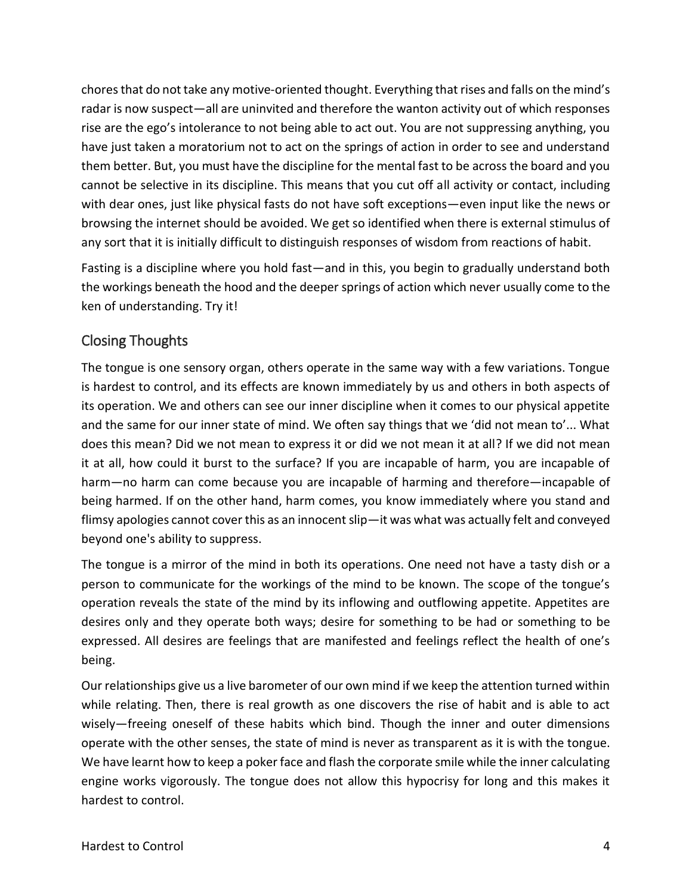chores that do not take any motive-oriented thought. Everything that rises and falls on the mind's radar is now suspect—all are uninvited and therefore the wanton activity out of which responses rise are the ego's intolerance to not being able to act out. You are not suppressing anything, you have just taken a moratorium not to act on the springs of action in order to see and understand them better. But, you must have the discipline for the mental fast to be across the board and you cannot be selective in its discipline. This means that you cut off all activity or contact, including with dear ones, just like physical fasts do not have soft exceptions—even input like the news or browsing the internet should be avoided. We get so identified when there is external stimulus of any sort that it is initially difficult to distinguish responses of wisdom from reactions of habit.

Fasting is a discipline where you hold fast—and in this, you begin to gradually understand both the workings beneath the hood and the deeper springs of action which never usually come to the ken of understanding. Try it!

## Closing Thoughts

The tongue is one sensory organ, others operate in the same way with a few variations. Tongue is hardest to control, and its effects are known immediately by us and others in both aspects of its operation. We and others can see our inner discipline when it comes to our physical appetite and the same for our inner state of mind. We often say things that we 'did not mean to'... What does this mean? Did we not mean to express it or did we not mean it at all? If we did not mean it at all, how could it burst to the surface? If you are incapable of harm, you are incapable of harm—no harm can come because you are incapable of harming and therefore—incapable of being harmed. If on the other hand, harm comes, you know immediately where you stand and flimsy apologies cannot cover this as an innocent slip—it was what was actually felt and conveyed beyond one's ability to suppress.

The tongue is a mirror of the mind in both its operations. One need not have a tasty dish or a person to communicate for the workings of the mind to be known. The scope of the tongue's operation reveals the state of the mind by its inflowing and outflowing appetite. Appetites are desires only and they operate both ways; desire for something to be had or something to be expressed. All desires are feelings that are manifested and feelings reflect the health of one's being.

Our relationships give us a live barometer of our own mind if we keep the attention turned within while relating. Then, there is real growth as one discovers the rise of habit and is able to act wisely—freeing oneself of these habits which bind. Though the inner and outer dimensions operate with the other senses, the state of mind is never as transparent as it is with the tongue. We have learnt how to keep a poker face and flash the corporate smile while the inner calculating engine works vigorously. The tongue does not allow this hypocrisy for long and this makes it hardest to control.